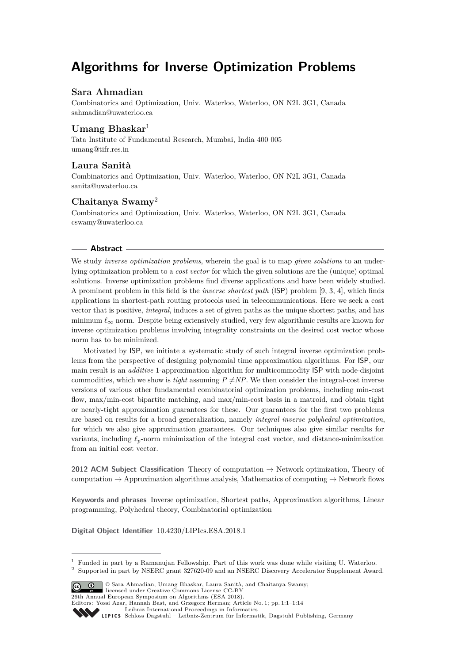# **Algorithms for Inverse Optimization Problems**

# **Sara Ahmadian**

Combinatorics and Optimization, Univ. Waterloo, Waterloo, ON N2L 3G1, Canada [sahmadian@uwaterloo.ca](mailto:sahmadian@uwaterloo.ca)

# **Umang Bhaskar**<sup>1</sup>

Tata Institute of Fundamental Research, Mumbai, India 400 005 [umang@tifr.res.in](mailto:umang@tifr.res.in)

# **Laura Sanità**

Combinatorics and Optimization, Univ. Waterloo, Waterloo, ON N2L 3G1, Canada [sanita@uwaterloo.ca](mailto:sanita@uwaterloo.ca)

# **Chaitanya Swamy**<sup>2</sup>

Combinatorics and Optimization, Univ. Waterloo, Waterloo, ON N2L 3G1, Canada [cswamy@uwaterloo.ca](mailto:cswamy@uwaterloo.ca)

## **Abstract**

We study *inverse optimization problems*, wherein the goal is to map *given solutions* to an underlying optimization problem to a *cost vector* for which the given solutions are the (unique) optimal solutions. Inverse optimization problems find diverse applications and have been widely studied. A prominent problem in this field is the *inverse shortest path* (ISP) problem [\[9,](#page-12-0) [3,](#page-12-1) [4\]](#page-12-2), which finds applications in shortest-path routing protocols used in telecommunications. Here we seek a cost vector that is positive, *integral*, induces a set of given paths as the unique shortest paths, and has minimum  $\ell_{\infty}$  norm. Despite being extensively studied, very few algorithmic results are known for inverse optimization problems involving integrality constraints on the desired cost vector whose norm has to be minimized.

Motivated by ISP, we initiate a systematic study of such integral inverse optimization problems from the perspective of designing polynomial time approximation algorithms. For ISP, our main result is an *additive* 1-approximation algorithm for multicommodity ISP with node-disjoint commodities, which we show is *tight* assuming  $P \neq NP$ . We then consider the integral-cost inverse versions of various other fundamental combinatorial optimization problems, including min-cost flow, max/min-cost bipartite matching, and max/min-cost basis in a matroid, and obtain tight or nearly-tight approximation guarantees for these. Our guarantees for the first two problems are based on results for a broad generalization, namely *integral inverse polyhedral optimization*, for which we also give approximation guarantees. Our techniques also give similar results for variants, including  $\ell_p$ -norm minimization of the integral cost vector, and distance-minimization from an initial cost vector.

**2012 ACM Subject Classification** Theory of computation → Network optimization, Theory of computation  $\rightarrow$  Approximation algorithms analysis, Mathematics of computing  $\rightarrow$  Network flows

**Keywords and phrases** Inverse optimization, Shortest paths, Approximation algorithms, Linear programming, Polyhedral theory, Combinatorial optimization

**Digital Object Identifier** [10.4230/LIPIcs.ESA.2018.1](http://dx.doi.org/10.4230/LIPIcs.ESA.2018.1)

<sup>2</sup> Supported in part by NSERC grant 327620-09 and an NSERC Discovery Accelerator Supplement Award.



licensed under Creative Commons License CC-BY 26th Annual European Symposium on Algorithms (ESA 2018).

 $<sup>1</sup>$  Funded in part by a Ramanujan Fellowship. Part of this work was done while visiting U. Waterloo.</sup>

Editors: Yossi Azar, Hannah Bast, and Grzegorz Herman; Article No. 1; pp. 1:1–1[:14](#page-13-0)

[Leibniz International Proceedings in Informatics](http://www.dagstuhl.de/lipics/)

[Schloss Dagstuhl – Leibniz-Zentrum für Informatik, Dagstuhl Publishing, Germany](http://www.dagstuhl.de)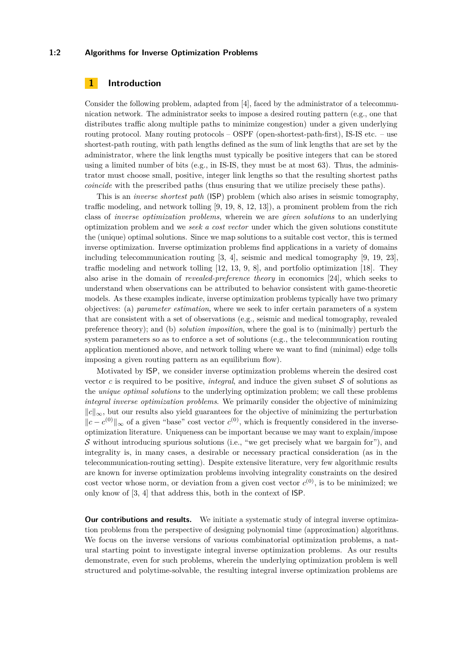## **1:2 Algorithms for Inverse Optimization Problems**

## **1 Introduction**

Consider the following problem, adapted from [\[4\]](#page-12-2), faced by the administrator of a telecommunication network. The administrator seeks to impose a desired routing pattern (e.g., one that distributes traffic along multiple paths to minimize congestion) under a given underlying routing protocol. Many routing protocols – OSPF (open-shortest-path-first), IS-IS etc. – use shortest-path routing, with path lengths defined as the sum of link lengths that are set by the administrator, where the link lengths must typically be positive integers that can be stored using a limited number of bits (e.g., in IS-IS, they must be at most  $63$ ). Thus, the administrator must choose small, positive, integer link lengths so that the resulting shortest paths *coincide* with the prescribed paths (thus ensuring that we utilize precisely these paths).

This is an *inverse shortest path* (ISP) problem (which also arises in seismic tomography, traffic modeling, and network tolling [\[9,](#page-12-0) [19,](#page-13-1) [8,](#page-12-3) [12,](#page-12-4) [13\]](#page-12-5)), a prominent problem from the rich class of *inverse optimization problems*, wherein we are *given solutions* to an underlying optimization problem and we *seek a cost vector* under which the given solutions constitute the (unique) optimal solutions. Since we map solutions to a suitable cost vector, this is termed inverse optimization. Inverse optimization problems find applications in a variety of domains including telecommunication routing [\[3,](#page-12-1) [4\]](#page-12-2), seismic and medical tomography [\[9,](#page-12-0) [19,](#page-13-1) [23\]](#page-13-2), traffic modeling and network tolling [\[12,](#page-12-4) [13,](#page-12-5) [9,](#page-12-0) [8\]](#page-12-3), and portfolio optimization [\[18\]](#page-13-3). They also arise in the domain of *revealed-preference theory* in economics [\[24\]](#page-13-4), which seeks to understand when observations can be attributed to behavior consistent with game-theoretic models. As these examples indicate, inverse optimization problems typically have two primary objectives: (a) *parameter estimation*, where we seek to infer certain parameters of a system that are consistent with a set of observations (e.g., seismic and medical tomography, revealed preference theory); and (b) *solution imposition*, where the goal is to (minimally) perturb the system parameters so as to enforce a set of solutions (e.g., the telecommunication routing application mentioned above, and network tolling where we want to find (minimal) edge tolls imposing a given routing pattern as an equilibrium flow).

Motivated by ISP, we consider inverse optimization problems wherein the desired cost vector  $c$  is required to be positive, *integral*, and induce the given subset  $S$  of solutions as the *unique optimal solutions* to the underlying optimization problem; we call these problems *integral inverse optimization problems*. We primarily consider the objective of minimizing  $||c||_{\infty}$ , but our results also yield guarantees for the objective of minimizing the perturbation  $||c - c^{(0)}||_{\infty}$  of a given "base" cost vector  $c^{(0)}$ , which is frequently considered in the inverseoptimization literature. Uniqueness can be important because we may want to explain/impose  $S$  without introducing spurious solutions (i.e., "we get precisely what we bargain for"), and integrality is, in many cases, a desirable or necessary practical consideration (as in the telecommunication-routing setting). Despite extensive literature, very few algorithmic results are known for inverse optimization problems involving integrality constraints on the desired cost vector whose norm, or deviation from a given cost vector  $c^{(0)}$ , is to be minimized; we only know of [\[3,](#page-12-1) [4\]](#page-12-2) that address this, both in the context of ISP.

**Our contributions and results.** We initiate a systematic study of integral inverse optimization problems from the perspective of designing polynomial time (approximation) algorithms. We focus on the inverse versions of various combinatorial optimization problems, a natural starting point to investigate integral inverse optimization problems. As our results demonstrate, even for such problems, wherein the underlying optimization problem is well structured and polytime-solvable, the resulting integral inverse optimization problems are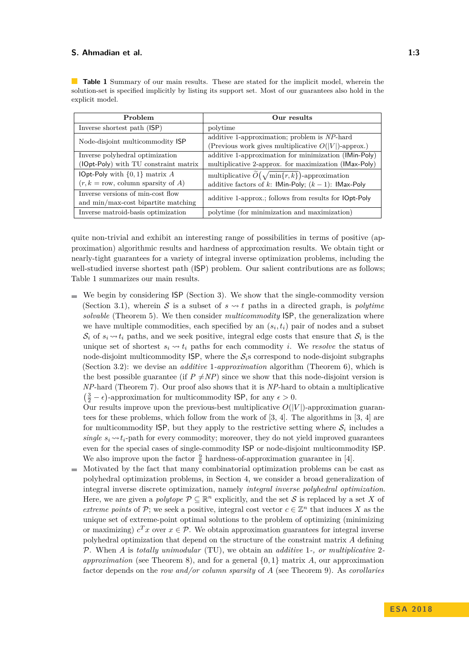<span id="page-2-0"></span>**Table 1** Summary of our main results. These are stated for the implicit model, wherein the solution-set is specified implicitly by listing its support set. Most of our guarantees also hold in the explicit model.

| Problem                                             | Our results                                                       |
|-----------------------------------------------------|-------------------------------------------------------------------|
| Inverse shortest path (ISP)                         | polytime                                                          |
| Node-disjoint multicommodity ISP                    | additive 1-approximation; problem is NP-hard                      |
|                                                     | (Previous work gives multiplicative $O( V )$ -approx.)            |
| Inverse polyhedral optimization                     | additive 1-approximation for minimization (IMin-Poly)             |
| (IOpt-Poly) with TU constraint matrix               | multiplicative 2-approx. for maximization (IMax-Poly)             |
| <b>IOpt-Poly</b> with $\{0, 1\}$ matrix A           | multiplicative $\widetilde{O}(\sqrt{\min\{r,k\}})$ -approximation |
| $(r, k = \text{row}, \text{column sparsity of } A)$ | additive factors of k: IMin-Poly; $(k - 1)$ : IMax-Poly           |
| Inverse versions of min-cost flow                   | additive 1-approx.; follows from results for <b>IOpt-Poly</b>     |
| and min/max-cost bipartite matching                 |                                                                   |
| Inverse matroid-basis optimization                  | polytime (for minimization and maximization)                      |

quite non-trivial and exhibit an interesting range of possibilities in terms of positive (approximation) algorithmic results and hardness of approximation results. We obtain tight or nearly-tight guarantees for a variety of integral inverse optimization problems, including the well-studied inverse shortest path (ISP) problem. Our salient contributions are as follows; Table [1](#page-2-0) summarizes our main results.

 $\blacksquare$  We begin by considering ISP (Section [3\)](#page-7-0). We show that the single-commodity version (Section [3.1\)](#page-7-1), wherein S is a subset of  $s \rightarrow t$  paths in a directed graph, is *polytime solvable* (Theorem [5\)](#page-8-0). We then consider *multicommodity* ISP, the generalization where we have multiple commodities, each specified by an  $(s_i, t_i)$  pair of nodes and a subset  $S_i$  of  $s_i \rightarrow t_i$  paths, and we seek positive, integral edge costs that ensure that  $S_i$  is the unique set of shortest  $s_i \sim t_i$  paths for each commodity *i*. We *resolve* the status of node-disjoint multicommodity  $\textsf{ISP}$ , where the  $\mathcal{S}_i$ s correspond to node-disjoint subgraphs (Section [3.2\)](#page-8-1): we devise an *additive* 1*-approximation* algorithm (Theorem [6\)](#page-8-2), which is the best possible guarantee (if  $P \neq NP$ ) since we show that this node-disjoint version is *NP*-hard (Theorem [7\)](#page-9-0). Our proof also shows that it is *NP*-hard to obtain a multiplicative  $\left(\frac{3}{2} - \epsilon\right)$ -approximation for multicommodity ISP, for any  $\epsilon > 0$ .

Our results improve upon the previous-best multiplicative  $O(|V|)$ -approximation guarantees for these problems, which follow from the work of [\[3,](#page-12-1) [4\]](#page-12-2). The algorithms in [\[3,](#page-12-1) [4\]](#page-12-2) are for multicommodity  $\textsf{ISP}$ , but they apply to the restrictive setting where  $\mathcal{S}_i$  includes a *single*  $s_i \sim t_i$ -path for every commodity; moreover, they do not yield improved guarantees even for the special cases of single-commodity ISP or node-disjoint multicommodity ISP. We also improve upon the factor  $\frac{9}{8}$  hardness-of-approximation guarantee in [\[4\]](#page-12-2).

Motivated by the fact that many combinatorial optimization problems can be cast as  $\overline{a}$ polyhedral optimization problems, in Section [4,](#page-9-1) we consider a broad generalization of integral inverse discrete optimization, namely *integral inverse polyhedral optimization*. Here, we are given a *polytope*  $P \subseteq \mathbb{R}^n$  explicitly, and the set S is replaced by a set X of *extreme points* of P; we seek a positive, integral cost vector  $c \in \mathbb{Z}^n$  that induces X as the unique set of extreme-point optimal solutions to the problem of optimizing (minimizing or maximizing)  $c^T x$  over  $x \in \mathcal{P}$ . We obtain approximation guarantees for integral inverse polyhedral optimization that depend on the structure of the constraint matrix *A* defining P. When *A* is *totally unimodular* (TU), we obtain an *additive* 1*-, or multiplicative* 2 *approximation* (see Theorem [8\)](#page-10-0), and for a general {0*,* 1} matrix *A*, our approximation factor depends on the *row and/or column sparsity* of *A* (see Theorem [9\)](#page-10-1). As *corollaries*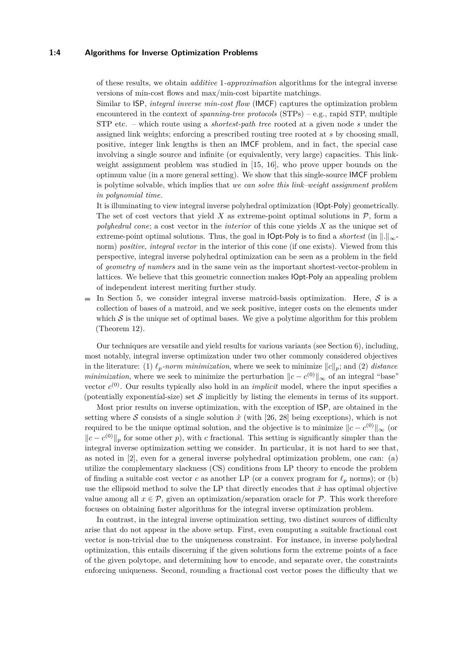#### **1:4 Algorithms for Inverse Optimization Problems**

of these results, we obtain *additive* 1*-approximation* algorithms for the integral inverse versions of min-cost flows and max/min-cost bipartite matchings.

Similar to ISP, *integral inverse min-cost flow* (IMCF) captures the optimization problem encountered in the context of *spanning-tree protocols* (STPs) – e.g., rapid STP, multiple STP etc. – which route using a *shortest-path tree* rooted at a given node *s* under the assigned link weights; enforcing a prescribed routing tree rooted at *s* by choosing small, positive, integer link lengths is then an IMCF problem, and in fact, the special case involving a single source and infinite (or equivalently, very large) capacities. This linkweight assignment problem was studied in [\[15,](#page-12-6) [16\]](#page-12-7), who prove upper bounds on the optimum value (in a more general setting). We show that this single-source IMCF problem is polytime solvable, which implies that *we can solve this link–weight assignment problem in polynomial time.*

It is illuminating to view integral inverse polyhedral optimization (IOpt-Poly) geometrically. The set of cost vectors that yield  $X$  as extreme-point optimal solutions in  $P$ , form a *polyhedral cone*; a cost vector in the *interior* of this cone yields *X* as the unique set of extreme-point optimal solutions. Thus, the goal in **lOpt-Poly** is to find a *shortest* (in  $\|.\|_{\infty}$ norm) *positive, integral vector* in the interior of this cone (if one exists). Viewed from this perspective, integral inverse polyhedral optimization can be seen as a problem in the field of *geometry of numbers* and in the same vein as the important shortest-vector-problem in lattices. We believe that this geometric connection makes IOpt-Poly an appealing problem of independent interest meriting further study.

 $\equiv$ In Section [5,](#page-11-0) we consider integral inverse matroid-basis optimization. Here,  $S$  is a collection of bases of a matroid, and we seek positive, integer costs on the elements under which  $S$  is the unique set of optimal bases. We give a polytime algorithm for this problem (Theorem [12\)](#page-11-1).

Our techniques are versatile and yield results for various variants (see Section [6\)](#page-11-2), including, most notably, integral inverse optimization under two other commonly considered objectives in the literature: (1)  $\ell_p$ *-norm minimization*, where we seek to minimize  $||c||_p$ ; and (2) *distance minimization*, where we seek to minimize the perturbation  $\|c - c^{(0)}\|_{\infty}$  of an integral "base" vector  $c^{(0)}$ . Our results typically also hold in an *implicit* model, where the input specifies a (potentially exponential-size) set  $S$  implicitly by listing the elements in terms of its support.

Most prior results on inverse optimization, with the exception of ISP, are obtained in the setting where S consists of a single solution  $\hat{x}$  (with [\[26,](#page-13-5) [28\]](#page-13-6) being exceptions), which is not required to be the unique optimal solution, and the objective is to minimize  $||c - c^{(0)}||_{\infty}$  (or  $||c - c^{(0)}||_p$  for some other *p*), with *c* fractional. This setting is significantly simpler than the integral inverse optimization setting we consider. In particular, it is not hard to see that, as noted in [\[2\]](#page-12-8), even for a general inverse polyhedral optimization problem, one can: (a) utilize the complementary slackness (CS) conditions from LP theory to encode the problem of finding a suitable cost vector *c* as another LP (or a convex program for  $\ell_p$  norms); or (b) use the ellipsoid method to solve the LP that directly encodes that  $\hat{x}$  has optimal objective value among all  $x \in \mathcal{P}$ , given an optimization/separation oracle for  $\mathcal{P}$ . This work therefore focuses on obtaining faster algorithms for the integral inverse optimization problem.

In contrast, in the integral inverse optimization setting, two distinct sources of difficulty arise that do not appear in the above setup. First, even computing a suitable fractional cost vector is non-trivial due to the uniqueness constraint. For instance, in inverse polyhedral optimization, this entails discerning if the given solutions form the extreme points of a face of the given polytope, and determining how to encode, and separate over, the constraints enforcing uniqueness. Second, rounding a fractional cost vector poses the difficulty that we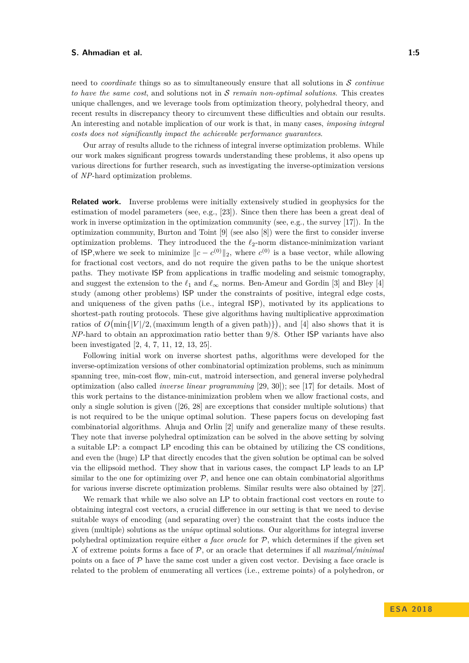need to *coordinate* things so as to simultaneously ensure that all solutions in S *continue to have the same cost*, and solutions not in S *remain non-optimal solutions*. This creates unique challenges, and we leverage tools from optimization theory, polyhedral theory, and recent results in discrepancy theory to circumvent these difficulties and obtain our results. An interesting and notable implication of our work is that, in many cases, *imposing integral costs does not significantly impact the achievable performance guarantees*.

Our array of results allude to the richness of integral inverse optimization problems. While our work makes significant progress towards understanding these problems, it also opens up various directions for further research, such as investigating the inverse-optimization versions of *NP*-hard optimization problems.

**Related work.** Inverse problems were initially extensively studied in geophysics for the estimation of model parameters (see, e.g., [\[23\]](#page-13-2)). Since then there has been a great deal of work in inverse optimization in the optimization community (see, e.g., the survey [\[17\]](#page-13-7)). In the optimization community, Burton and Toint [\[9\]](#page-12-0) (see also [\[8\]](#page-12-3)) were the first to consider inverse optimization problems. They introduced the the  $\ell_2$ -norm distance-minimization variant of **ISP**,where we seek to minimize  $||c - c^{(0)}||_2$ , where  $c^{(0)}$  is a base vector, while allowing for fractional cost vectors, and do not require the given paths to be the unique shortest paths. They motivate ISP from applications in traffic modeling and seismic tomography, and suggest the extension to the  $\ell_1$  and  $\ell_{\infty}$  norms. Ben-Ameur and Gordin [\[3\]](#page-12-1) and Bley [\[4\]](#page-12-2) study (among other problems) ISP under the constraints of positive, integral edge costs, and uniqueness of the given paths (i.e., integral ISP), motivated by its applications to shortest-path routing protocols. These give algorithms having multiplicative approximation ratios of  $O(\min\{|V|/2, (\text{maximum length of a given path})\})$ , and [\[4\]](#page-12-2) also shows that it is *NP*-hard to obtain an approximation ratio better than 9*/*8. Other ISP variants have also been investigated [\[2,](#page-12-8) [4,](#page-12-2) [7,](#page-12-9) [11,](#page-12-10) [12,](#page-12-4) [13,](#page-12-5) [25\]](#page-13-8).

Following initial work on inverse shortest paths, algorithms were developed for the inverse-optimization versions of other combinatorial optimization problems, such as minimum spanning tree, min-cost flow, min-cut, matroid intersection, and general inverse polyhedral optimization (also called *inverse linear programming* [\[29,](#page-13-9) [30\]](#page-13-10)); see [\[17\]](#page-13-7) for details. Most of this work pertains to the distance-minimization problem when we allow fractional costs, and only a single solution is given ([\[26,](#page-13-5) [28\]](#page-13-6) are exceptions that consider multiple solutions) that is not required to be the unique optimal solution. These papers focus on developing fast combinatorial algorithms. Ahuja and Orlin [\[2\]](#page-12-8) unify and generalize many of these results. They note that inverse polyhedral optimization can be solved in the above setting by solving a suitable LP: a compact LP encoding this can be obtained by utilizing the CS conditions, and even the (huge) LP that directly encodes that the given solution be optimal can be solved via the ellipsoid method. They show that in various cases, the compact LP leads to an LP similar to the one for optimizing over  $P$ , and hence one can obtain combinatorial algorithms for various inverse discrete optimization problems. Similar results were also obtained by [\[27\]](#page-13-11).

We remark that while we also solve an LP to obtain fractional cost vectors en route to obtaining integral cost vectors, a crucial difference in our setting is that we need to devise suitable ways of encoding (and separating over) the constraint that the costs induce the given (multiple) solutions as the *unique* optimal solutions. Our algorithms for integral inverse polyhedral optimization require either *a face oracle* for P, which determines if the given set *X* of extreme points forms a face of P, or an oracle that determines if all *maximal/minimal* points on a face of  $P$  have the same cost under a given cost vector. Devising a face oracle is related to the problem of enumerating all vertices (i.e., extreme points) of a polyhedron, or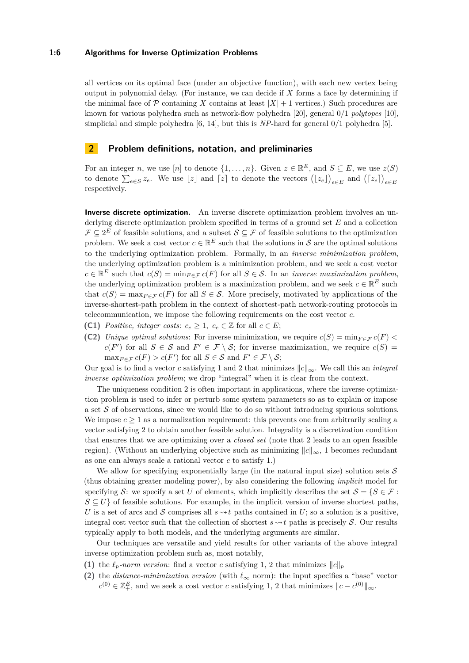#### **1:6 Algorithms for Inverse Optimization Problems**

all vertices on its optimal face (under an objective function), with each new vertex being output in polynomial delay. (For instance, we can decide if *X* forms a face by determining if the minimal face of  $\mathcal P$  containing *X* contains at least  $|X|+1$  vertices.) Such procedures are known for various polyhedra such as network-flow polyhedra [\[20\]](#page-13-12), general 0*/*1 *polytopes* [\[10\]](#page-12-11), simplicial and simple polyhedra [\[6,](#page-12-12) [14\]](#page-12-13), but this is *NP*-hard for general 0*/*1 polyhedra [\[5\]](#page-12-14).

## <span id="page-5-2"></span>**2 Problem definitions, notation, and preliminaries**

For an integer *n*, we use [*n*] to denote  $\{1, \ldots, n\}$ . Given  $z \in \mathbb{R}^E$ , and  $S \subseteq E$ , we use  $z(S)$ to denote  $\sum_{e \in S} z_e$ . We use  $\lfloor z \rfloor$  and  $\lceil z \rceil$  to denote the vectors  $(\lfloor z_e \rfloor)_{e \in E}$  and  $(\lceil z_e \rceil)_{e \in E}$ respectively.

**Inverse discrete optimization.** An inverse discrete optimization problem involves an underlying discrete optimization problem specified in terms of a ground set *E* and a collection  $\mathcal{F} \subseteq 2^E$  of feasible solutions, and a subset  $\mathcal{S} \subseteq \mathcal{F}$  of feasible solutions to the optimization problem. We seek a cost vector  $c \in \mathbb{R}^E$  such that the solutions in S are the optimal solutions to the underlying optimization problem. Formally, in an *inverse minimization problem*, the underlying optimization problem is a minimization problem, and we seek a cost vector  $c \in \mathbb{R}^E$  such that  $c(S) = \min_{F \in \mathcal{F}} c(F)$  for all  $S \in \mathcal{S}$ . In an *inverse maximization problem*, the underlying optimization problem is a maximization problem, and we seek  $c \in \mathbb{R}^E$  such that  $c(S) = \max_{F \in \mathcal{F}} c(F)$  for all  $S \in \mathcal{S}$ . More precisely, motivated by applications of the inverse-shortest-path problem in the context of shortest-path network-routing protocols in telecommunication, we impose the following requirements on the cost vector *c*.

- <span id="page-5-0"></span>**(C1)** *Positive, integer costs:*  $c_e \geq 1$ ,  $c_e \in \mathbb{Z}$  for all  $e \in E$ ;
- <span id="page-5-1"></span>**(C2)** *Unique optimal solutions*: For inverse minimization, we require  $c(S) = \min_{F \in \mathcal{F}} c(F)$  $c(F')$  for all  $S \in \mathcal{S}$  and  $F' \in \mathcal{F} \setminus \mathcal{S}$ ; for inverse maximization, we require  $c(S)$  $\max_{F \in \mathcal{F}} c(F) > c(F')$  for all  $S \in \mathcal{S}$  and  $F' \in \mathcal{F} \setminus \mathcal{S}$ ;

Our goal is to find a vector *c* satisfying [1](#page-5-0) and [2](#page-5-1) that minimizes  $||c||_{\infty}$ . We call this an *integral inverse optimization problem*; we drop "integral" when it is clear from the context.

The uniqueness condition [2](#page-5-1) is often important in applications, where the inverse optimization problem is used to infer or perturb some system parameters so as to explain or impose a set  $S$  of observations, since we would like to do so without introducing spurious solutions. We impose  $c \geq 1$  as a normalization requirement: this prevents one from arbitrarily scaling a vector satisfying [2](#page-5-1) to obtain another feasible solution. Integrality is a discretization condition that ensures that we are optimizing over a *closed set* (note that [2](#page-5-1) leads to an open feasible region). (Without an underlying objective such as minimizing  $||c||_{\infty}$ , [1](#page-5-0) becomes redundant as one can always scale a rational vector *c* to satisfy [1.](#page-5-0))

We allow for specifying exponentially large (in the natural input size) solution sets  $\mathcal S$ (thus obtaining greater modeling power), by also considering the following *implicit* model for specifying S: we specify a set U of elements, which implicitly describes the set  $S = \{S \in \mathcal{F} : S \subseteq \mathcal{F} \mid S \subseteq \mathcal{F} \mid S \subseteq \mathcal{F} \}$  $S \subseteq U$  of feasible solutions. For example, in the implicit version of inverse shortest paths, *U* is a set of arcs and *S* comprises all  $s \rightarrow t$  paths contained in *U*; so a solution is a positive, integral cost vector such that the collection of shortest  $s \sim t$  paths is precisely S. Our results typically apply to both models, and the underlying arguments are similar.

Our techniques are versatile and yield results for other variants of the above integral inverse optimization problem such as, most notably,

- (1) the  $\ell_p$ -norm version: find a vector *c* satisfying [1,](#page-5-0) [2](#page-5-1) that minimizes  $||c||_p$
- (2) the *distance-minimization version* (with  $\ell_{\infty}$  norm): the input specifies a "base" vector  $c^{(0)} \in \mathbb{Z}_+^E$ , and we seek a cost vector *c* satisfying [1,](#page-5-0) [2](#page-5-1) that minimizes  $||c - c^{(0)}||_{\infty}$ .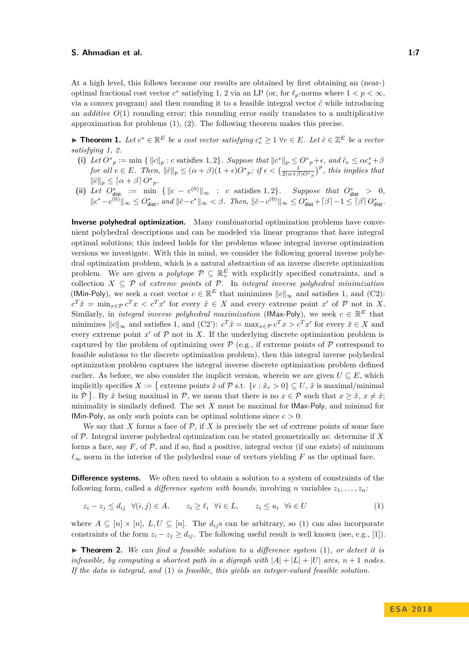At a high level, this follows because our results are obtained by first obtaining an (near-) optimal fractional cost vector  $c^*$  satisfying [1,](#page-5-0) [2](#page-5-1) via an LP (or, for  $\ell_p$ -norms where  $1 < p < \infty$ , via a convex program) and then rounding it to a feasible integral vector  $\tilde{c}$  while introducing an *additive*  $O(1)$  rounding error; this rounding error easily translates to a multiplicative approximation for problems (1), (2). The following theorem makes this precise.

<span id="page-6-2"></span>► **Theorem 1.** Let  $c^* \in \mathbb{R}^E$  be a cost vector satisfying  $c_e^* \geq 1 \ \forall e \in E$ . Let  $\tilde{c} \in \mathbb{Z}^E$  be a vector *satisfying [1,](#page-5-0) [2.](#page-5-1)*

- (i) Let  $O^*_{p} := \min \{ ||c||_p : c \text{ satisfies } 1,2 \}.$  $O^*_{p} := \min \{ ||c||_p : c \text{ satisfies } 1,2 \}.$  $O^*_{p} := \min \{ ||c||_p : c \text{ satisfies } 1,2 \}.$  $O^*_{p} := \min \{ ||c||_p : c \text{ satisfies } 1,2 \}.$  $O^*_{p} := \min \{ ||c||_p : c \text{ satisfies } 1,2 \}.$  Suppose that  $||c^*||_p \leq O^*_{p} + \epsilon$ , and  $\tilde{c}_e \leq \alpha c_e^* + \beta$  $\int$  *for all*  $e \in E$ *. Then,*  $\|\tilde{c}\|_p \leq (\alpha + \beta)(1 + \epsilon)O^*_{p}$ *; if*  $\epsilon < (\frac{1}{2(\alpha + \beta)O^*_{p}})^p$ *, this implies that*  $\|\tilde{c}\|_p \leq [\alpha + \beta] O^*_{p}.$
- (ii) Let  $O_{\text{dist}}^* := \min \{ ||c c^{(0)}||_{\infty} : c \text{ satisfies } 1, 2 \}.$  $O_{\text{dist}}^* := \min \{ ||c c^{(0)}||_{\infty} : c \text{ satisfies } 1, 2 \}.$  $O_{\text{dist}}^* := \min \{ ||c c^{(0)}||_{\infty} : c \text{ satisfies } 1, 2 \}.$  $O_{\text{dist}}^* := \min \{ ||c c^{(0)}||_{\infty} : c \text{ satisfies } 1, 2 \}.$  $O_{\text{dist}}^* := \min \{ ||c c^{(0)}||_{\infty} : c \text{ satisfies } 1, 2 \}.$  Suppose that  $O_{\text{dist}}^* > 0$ ,  $||c^* - c^{(0)}||_{\infty} \leq O_{\text{dist}}^*$ , and  $||\tilde{c} - c^*||_{\infty} < \beta$ . Then,  $||\tilde{c} - c^{(0)}||_{\infty} \leq O_{\text{dist}}^* + |\beta| - 1 \leq |\beta| O_{\text{dist}}^*$ .

**Inverse polyhedral optimization.** Many combinatorial optimization problems have convenient polyhedral descriptions and can be modeled via linear programs that have integral optimal solutions; this indeed holds for the problems whose integral inverse optimization versions we investigate. With this in mind, we consider the following general inverse polyhedral optimization problem, which is a natural abstraction of an inverse discrete optimization problem. We are given a *polytope*  $P \subseteq \mathbb{R}^E_+$  with explicitly specified constraints, and a collection *X* ⊆ P of *extreme points* of P. In *integral inverse polyhedral minimization* (IMin-Poly), we seek a cost vector  $c \in \mathbb{R}^E$  that minimizes  $||c||_{\infty}$  and satisfies [1,](#page-5-0) and (C2):  $c^T \hat{x} = \min_{x \in \mathcal{P}} c^T x < c^T x'$  for every  $\hat{x} \in X$  and every extreme point  $x'$  of P not in X. Similarly, in *integral inverse polyhedral maximization* (IMax-Poly), we seek  $c \in \mathbb{R}^E$  that minimizes  $||c||_{\infty}$  and satisfies [1,](#page-5-0) and (C2'):  $c^T \hat{x} = \max_{x \in \mathcal{P}} c^T x > c^T x'$  for every  $\hat{x} \in X$  and every extreme point  $x'$  of  $P$  not in  $X$ . If the underlying discrete optimization problem is captured by the problem of optimizing over  $\mathcal P$  (e.g., if extreme points of  $\mathcal P$  correspond to feasible solutions to the discrete optimization problem), then this integral inverse polyhedral optimization problem captures the integral inverse discrete optimization problem defined earlier. As before, we also consider the implicit version, wherein we are given  $U \subseteq E$ , which implicitly specifies  $X := \{$  extreme points  $\hat{x}$  of  $\mathcal{P}$  s.t.  $\{e : \hat{x}_e > 0\} \subseteq U$ ,  $\hat{x}$  is maximal/minimal in  $P$ . By  $\hat{x}$  being maximal in  $P$ , we mean that there is no  $x \in P$  such that  $x \geq \hat{x}$ ,  $x \neq \hat{x}$ ; minimality is similarly defined. The set *X* must be maximal for IMax-Poly, and minimal for IMin-Poly, as only such points can be optimal solutions since  $c > 0$ .

We say that *X* forms a face of  $P$ , if *X* is precisely the set of extreme points of some face of P. Integral inverse polyhedral optimization can be stated geometrically as: determine if *X* forms a face, say  $F$ , of  $\mathcal{P}$ , and if so, find a positive, integral vector (if one exists) of minimum  $\ell_{\infty}$  norm in the interior of the polyhedral cone of vectors yielding *F* as the optimal face.

**Difference systems.** We often need to obtain a solution to a system of constraints of the following form, called a *difference system with bounds*, involving *n* variables  $z_1, \ldots, z_n$ ;

<span id="page-6-0"></span> $z_i - z_j \le d_{ij} \quad \forall (i, j) \in A, \qquad z_i \ge \ell_i \quad \forall i \in L, \qquad z_i \le u_i \quad \forall i \in U$  (1)

where  $A \subseteq [n] \times [n]$ ,  $L, U \subseteq [n]$ . The  $d_{ij}$  s can be arbitrary, so [\(1\)](#page-6-0) can also incorporate constraints of the form  $z_i - z_j \ge d_{ij}$ . The following useful result is well known (see, e.g., [\[1\]](#page-12-15)).

<span id="page-6-1"></span> $\blacktriangleright$  **Theorem 2.** We can find a feasible solution to a difference system [\(1\)](#page-6-0), or detect it is *infeasible, by computing a shortest path in a digraph with*  $|A| + |L| + |U|$  *arcs,*  $n + 1$  *nodes. If the data is integral, and* [\(1\)](#page-6-0) *is feasible, this yields an integer-valued feasible solution.*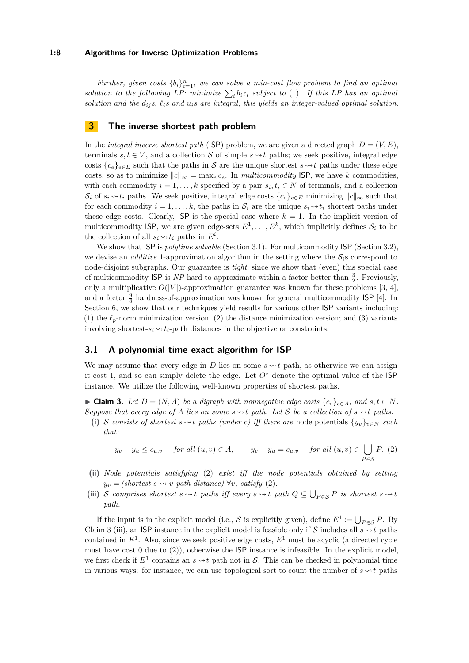#### **1:8 Algorithms for Inverse Optimization Problems**

*Further, given costs*  ${b_i}_{i=1}^n$ , we can solve a min-cost flow problem to find an optimal solution to the following LP: minimize  $\sum_i b_i z_i$  subject to [\(1\)](#page-6-0). If this LP has an optimal solution and the  $d_i$ <sup>*i*</sup>*s*,  $\ell$ <sup>*i*</sup>*s* and  $u_i$ *s* are integral, this yields an integer-valued optimal solution.

## <span id="page-7-0"></span>**3 The inverse shortest path problem**

In the *integral inverse shortest path* (ISP) problem, we are given a directed graph  $D = (V, E)$ , terminals  $s, t \in V$ , and a collection S of simple  $s \rightarrow t$  paths; we seek positive, integral edge costs  ${c_e}_{e \in E}$  such that the paths in S are the unique shortest  $s \rightsquigarrow t$  paths under these edge costs, so as to minimize  $||c||_{\infty} = \max_{e} c_e$ . In *multicommodity* ISP, we have *k* commodities, with each commodity  $i = 1, \ldots, k$  specified by a pair  $s_i, t_i \in N$  of terminals, and a collection  $S_i$  of  $s_i \sim t_i$  paths. We seek positive, integral edge costs  ${c_e}_{e \in E}$  minimizing  $||c||_{\infty}$  such that for each commodity  $i = 1, \ldots, k$ , the paths in  $S_i$  are the unique  $s_i \rightarrow t_i$  shortest paths under these edge costs. Clearly,  $\mathsf{ISP}$  is the special case where  $k = 1$ . In the implicit version of multicommodity ISP, we are given edge-sets  $E^1, \ldots, E^k$ , which implicitly defines  $S_i$  to be the collection of all  $s_i \rightarrow t_i$  paths in  $E^i$ .

We show that ISP is *polytime solvable* (Section [3.1\)](#page-7-1). For multicommodity ISP (Section [3.2\)](#page-8-1), we devise an *additive* 1-approximation algorithm in the setting where the  $S_i$ s correspond to node-disjoint subgraphs. Our guarantee is *tight*, since we show that (even) this special case of multicommodity  $\textsf{ISP}$  is NP-hard to approximate within a factor better than  $\frac{3}{2}$ . Previously, only a multiplicative  $O(|V|)$ -approximation guarantee was known for these problems [\[3,](#page-12-1) [4\]](#page-12-2), and a factor  $\frac{9}{8}$  hardness-of-approximation was known for general multicommodity ISP [\[4\]](#page-12-2). In Section [6,](#page-11-2) we show that our techniques yield results for various other ISP variants including: (1) the  $\ell_p$ -norm minimization version; (2) the distance minimization version; and (3) variants involving shortest- $s_i \leftrightarrow t_i$ -path distances in the objective or constraints.

## <span id="page-7-1"></span>**3.1 A polynomial time exact algorithm for ISP**

We may assume that every edge in *D* lies on some  $s \rightarrow t$  path, as otherwise we can assign it cost 1, and so can simply delete the edge. Let  $O^*$  denote the optimal value of the ISP instance. We utilize the following well-known properties of shortest paths.

<span id="page-7-3"></span>▶ **Claim 3.** *Let*  $D = (N, A)$  *be a digraph with nonnegative edge costs*  $\{c_e\}_{e \in A}$ *, and*  $s, t \in N$ *. Suppose that every edge of A lies on some*  $s \sim t$  *path. Let* S *be a collection of*  $s \sim t$  *paths.* 

(i) S consists of shortest  $s \rightarrow t$  paths (under c) iff there are node potentials  $\{y_v\}_{v \in N}$  such *that:*

<span id="page-7-2"></span>
$$
y_v - y_u \le c_{u,v}
$$
 for all  $(u, v) \in A$ ,  $y_v - y_u = c_{u,v}$  for all  $(u, v) \in \bigcup_{P \in S} P$ . (2)

- **(ii)** *Node potentials satisfying* [\(2\)](#page-7-2) *exist iff the node potentials obtained by setting*  $y_v = (shortest-s \leadsto v-path distance)$   $\forall v$ *, satisfy* [\(2\)](#page-7-2)*.*
- (iii) S comprises shortest  $s \rightarrow t$  paths iff every  $s \rightarrow t$  path  $Q \subseteq \bigcup_{P \in S} P$  is shortest  $s \rightarrow t$ *path.*

If the input is in the explicit model (i.e., S is explicitly given), define  $E^1 := \bigcup_{P \in \mathcal{S}} P$ . By Claim [3](#page-7-3) (iii), an ISP instance in the explicit model is feasible only if S includes all  $s \rightarrow t$  paths contained in  $E^1$ . Also, since we seek positive edge costs,  $E^1$  must be acyclic (a directed cycle must have cost  $0$  due to  $(2)$ ), otherwise the **ISP** instance is infeasible. In the explicit model, we first check if  $E^1$  contains an  $s \rightarrow t$  path not in S. This can be checked in polynomial time in various ways: for instance, we can use topological sort to count the number of  $s \sim t$  paths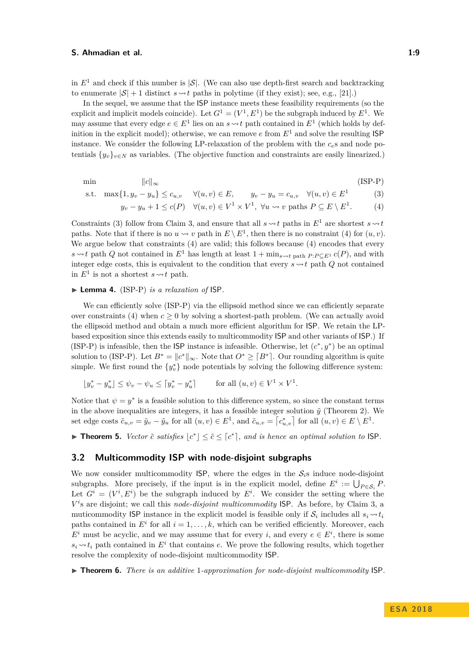in  $E^1$  and check if this number is  $|\mathcal{S}|$ . (We can also use depth-first search and backtracking to enumerate  $|\mathcal{S}| + 1$  distinct  $s \rightarrow t$  paths in polytime (if they exist); see, e.g., [\[21\]](#page-13-13).)

In the sequel, we assume that the ISP instance meets these feasibility requirements (so the explicit and implicit models coincide). Let  $G^1 = (V^1, E^1)$  be the subgraph induced by  $E^1$ . We may assume that every edge  $e \in E^1$  lies on an  $s \rightarrow t$  path contained in  $E^1$  (which holds by definition in the explicit model); otherwise, we can remove  $e$  from  $E<sup>1</sup>$  and solve the resulting **ISP** instance. We consider the following LP-relaxation of the problem with the  $c<sub>e</sub>$ s and node potentials  $\{y_v\}_{v \in N}$  as variables. (The objective function and constraints are easily linearized.)

$$
\min \qquad \qquad ||c||_{\infty} \qquad \qquad (\text{ISP-P})
$$

s.t. 
$$
\max\{1, y_v - y_u\} \le c_{u,v} \quad \forall (u, v) \in E, \qquad y_v - y_u = c_{u,v} \quad \forall (u, v) \in E^1
$$
 (3)

<span id="page-8-5"></span><span id="page-8-4"></span><span id="page-8-3"></span>
$$
y_v - y_u + 1 \le c(P) \quad \forall (u, v) \in V^1 \times V^1, \ \forall u \leadsto v \text{ paths } P \subseteq E \setminus E^1. \tag{4}
$$

Constraints [\(3\)](#page-8-3) follow from Claim [3,](#page-7-3) and ensure that all  $s \rightsquigarrow t$  paths in  $E^1$  are shortest  $s \rightsquigarrow t$ paths. Note that if there is no  $u \rightsquigarrow v$  path in  $E \setminus E^1$ , then there is no constraint [\(4\)](#page-8-4) for  $(u, v)$ . We argue below that constraints [\(4\)](#page-8-4) are valid; this follows because (4) encodes that every *s*  $\sim$  *t* path *Q* not contained in  $E^1$  has length at least 1 + min<sub>*s* $\sim$ *t* path *P*:*P*C $E^1$ *c*(*P*), and with</sub> integer edge costs, this is equivalent to the condition that every  $s \rightarrow t$  path *Q* not contained in  $E^1$  is not a shortest  $s \rightarrow t$  path.

## ▶ Lemma 4. [\(ISP-P\)](#page-8-5) *is a relaxation of* ISP.

We can efficiently solve [\(ISP-P\)](#page-8-5) via the ellipsoid method since we can efficiently separate over constraints [\(4\)](#page-8-4) when  $c > 0$  by solving a shortest-path problem. (We can actually avoid the ellipsoid method and obtain a much more efficient algorithm for ISP. We retain the LPbased exposition since this extends easily to multicommodity ISP and other variants of ISP.) If [\(ISP-P\)](#page-8-5) is infeasible, then the **ISP** instance is infeasible. Otherwise, let  $(c^*, y^*)$  be an optimal solution to [\(ISP-P\)](#page-8-5). Let  $B^* = \|c^*\|_{\infty}$ . Note that  $O^* \geq [B^*]$ . Our rounding algorithm is quite simple. We first round the  $\{y_v^*\}$  node potentials by solving the following difference system:

$$
[y_v^* - y_u^*] \le \psi_v - \psi_u \le [y_v^* - y_u^*] \quad \text{for all } (u, v) \in V^1 \times V^1.
$$

Notice that  $\psi = y^*$  is a feasible solution to this difference system, so since the constant terms in the above inequalities are integers, it has a feasible integer solution  $\tilde{y}$  (Theorem [2\)](#page-6-1). We set edge costs  $\tilde{c}_{u,v} = \tilde{y}_v - \tilde{y}_u$  for all  $(u, v) \in E^1$ , and  $\tilde{c}_{u,v} = \begin{bmatrix} c^*_{u,v} \end{bmatrix}$  for all  $(u, v) \in E \setminus E^1$ .

<span id="page-8-0"></span>**Find 15.** *Vector*  $\tilde{c}$  *satisfies*  $\lfloor c^* \rfloor \leq \tilde{c} \leq \lfloor c^* \rfloor$ *, and is hence an optimal solution to* ISP.

## <span id="page-8-1"></span>**3.2 Multicommodity ISP with node-disjoint subgraphs**

We now consider multicommodity  $\mathsf{ISP}$ , where the edges in the  $\mathcal{S}_i$ s induce node-disjoint subgraphs. More precisely, if the input is in the explicit model, define  $E^i := \bigcup_{P \in \mathcal{S}_i} P$ . Let  $G^i = (V^i, E^i)$  be the subgraph induced by  $E^i$ . We consider the setting where the *V i* s are disjoint; we call this *node-disjoint multicommodity* ISP. As before, by Claim [3,](#page-7-3) a muticommodity **ISP** instance in the explicit model is feasible only if  $S_i$  includes all  $s_i \rightarrow t_i$ paths contained in  $E^i$  for all  $i = 1, \ldots, k$ , which can be verified efficiently. Moreover, each  $E^i$  must be acyclic, and we may assume that for every *i*, and every  $e \in E^i$ , there is some  $s_i \rightarrow t_i$  path contained in  $E^i$  that contains *e*. We prove the following results, which together resolve the complexity of node-disjoint multicommodity ISP.

<span id="page-8-2"></span>▶ **Theorem 6.** *There is an additive* 1*-approximation for node-disjoint multicommodity* ISP.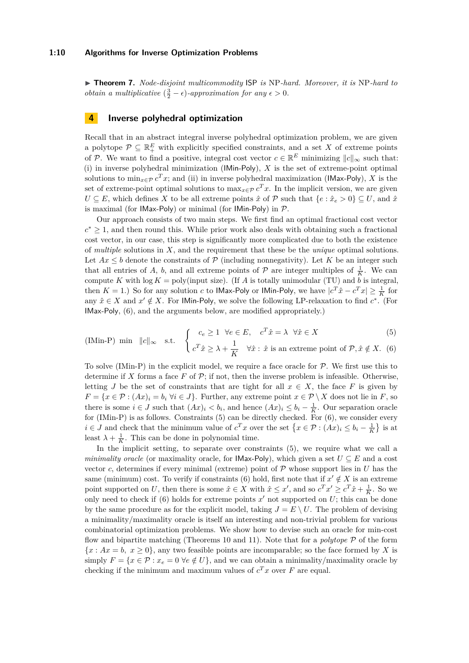<span id="page-9-0"></span>▶ **Theorem 7.** *Node-disjoint multicommodity* ISP *is* NP-hard. Moreover, *it is* NP-hard to *obtain a multiplicative*  $(\frac{3}{2} - \epsilon)$ *-approximation for any*  $\epsilon > 0$ *.* 

## <span id="page-9-1"></span>**4 Inverse polyhedral optimization**

Recall that in an abstract integral inverse polyhedral optimization problem, we are given a polytope  $\mathcal{P} \subseteq \mathbb{R}^E_+$  with explicitly specified constraints, and a set X of extreme points of P. We want to find a positive, integral cost vector  $c \in \mathbb{R}^E$  minimizing  $||c||_{\infty}$  such that: (i) in inverse polyhedral minimization (IMin-Poly), *X* is the set of extreme-point optimal solutions to  $\min_{x \in \mathcal{P}} c^T x$ ; and (ii) in inverse polyhedral maximization (IMax-Poly), *X* is the set of extreme-point optimal solutions to  $\max_{x \in \mathcal{P}} c^T x$ . In the implicit version, we are given *U* ⊆ *E*, which defines *X* to be all extreme points  $\hat{x}$  of  $\mathcal{P}$  such that {*e* :  $\hat{x}_e > 0$ } ⊆ *U*, and  $\hat{x}$ is maximal (for IMax-Poly) or minimal (for IMin-Poly) in  $P$ .

Our approach consists of two main steps. We first find an optimal fractional cost vector  $c^* \geq 1$ , and then round this. While prior work also deals with obtaining such a fractional cost vector, in our case, this step is significantly more complicated due to both the existence of *multiple* solutions in *X*, and the requirement that these be the *unique* optimal solutions. Let  $Ax \leq b$  denote the constraints of  $P$  (including nonnegativity). Let K be an integer such that all entries of *A*, *b*, and all extreme points of  $P$  are integer multiples of  $\frac{1}{K}$ . We can compute *K* with  $log K = poly(input size)$ . (If *A* is totally unimodular (TU) and *b* is integral, then  $K = 1$ .) So for any solution *c* to **IMax-Poly** or **IMin-Poly**, we have  $|c^T \hat{x} - c^T x| \ge \frac{1}{K}$  for any  $\hat{x} \in X$  and  $x' \notin X$ . For IMin-Poly, we solve the following LP-relaxation to find  $c^*$ . (For IMax-Poly, [\(6\)](#page-9-2), and the arguments below, are modified appropriately.)

<span id="page-9-4"></span><span id="page-9-3"></span><span id="page-9-2"></span>
$$
\text{(IMin-P) min } ||c||_{\infty} \quad \text{s.t.} \quad \begin{cases} \quad c_e \ge 1 \quad \forall e \in E, \quad c^T \hat{x} = \lambda \quad \forall \hat{x} \in X \\ \quad c^T \hat{x} \ge \lambda + \frac{1}{K} \quad \forall \hat{x} : \hat{x} \text{ is an extreme point of } \mathcal{P}, \hat{x} \notin X. \end{cases} \tag{5}
$$

To solve [\(IMin-P\)](#page-9-3) in the explicit model, we require a face oracle for  $P$ . We first use this to determine if X forms a face  $F$  of  $\mathcal{P}$ ; if not, then the inverse problem is infeasible. Otherwise, letting *J* be the set of constraints that are tight for all  $x \in X$ , the face *F* is given by  $F = \{x \in \mathcal{P} : (Ax)_i = b_i \,\forall i \in J\}$ . Further, any extreme point  $x \in \mathcal{P} \setminus X$  does not lie in *F*, so there is some  $i \in J$  such that  $(Ax)_i < b_i$ , and hence  $(Ax)_i \leq b_i - \frac{1}{K}$ . Our separation oracle for [\(IMin-P\)](#page-9-3) is as follows. Constraints [\(5\)](#page-9-4) can be directly checked. For [\(6\)](#page-9-2), we consider every *i* ∈ *J* and check that the minimum value of  $c^T x$  over the set  $\{x \in \mathcal{P} : (Ax)_i \leq b_i - \frac{1}{K}\}\)$  is at least  $\lambda + \frac{1}{K}$ . This can be done in polynomial time.

In the implicit setting, to separate over constraints [\(5\)](#page-9-4), we require what we call a *minimality oracle* (or maximality oracle, for **IMax-Poly**), which given a set  $U \subseteq E$  and a cost vector *c*, determines if every minimal (extreme) point of  $P$  whose support lies in  $U$  has the same (minimum) cost. To verify if constraints [\(6\)](#page-9-2) hold, first note that if  $x' \notin X$  is an extreme point supported on *U*, then there is some  $\hat{x} \in X$  with  $\hat{x} \leq x'$ , and so  $c^T x' \geq c^T \hat{x} + \frac{1}{K}$ . So we only need to check if  $(6)$  holds for extreme points  $x'$  not supported on  $U$ ; this can be done by the same procedure as for the explicit model, taking  $J = E \setminus U$ . The problem of devising a minimality/maximality oracle is itself an interesting and non-trivial problem for various combinatorial optimization problems. We show how to devise such an oracle for min-cost flow and bipartite matching (Theorems [10](#page-10-2) and [11\)](#page-11-3). Note that for a *polytope* P of the form  ${x : Ax = b, x > 0}$ , any two feasible points are incomparable; so the face formed by X is simply  $F = \{x \in \mathcal{P} : x_e = 0 \,\forall e \notin U\}$ , and we can obtain a minimality/maximality oracle by checking if the minimum and maximum values of  $c^T x$  over  $F$  are equal.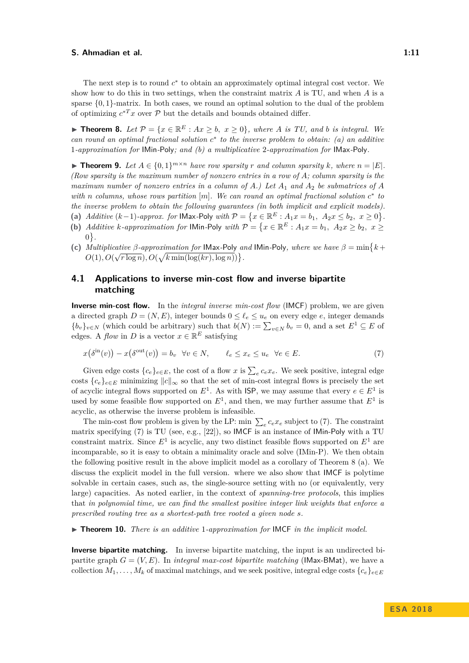The next step is to round  $c^*$  to obtain an approximately optimal integral cost vector. We show how to do this in two settings, when the constraint matrix *A* is TU, and when *A* is a sparse  $\{0,1\}$ -matrix. In both cases, we round an optimal solution to the dual of the problem of optimizing  $c^{*T}x$  over  $\mathcal P$  but the details and bounds obtained differ.

<span id="page-10-0"></span>▶ **Theorem 8.** Let  $\mathcal{P} = \{x \in \mathbb{R}^E : Ax \geq b, x \geq 0\}$ , where *A* is *TU*, and *b* is integral. We *can round an optimal fractional solution c* ∗ *to the inverse problem to obtain: (a) an additive* 1*-approximation for* IMin*-*Poly*; and (b) a multiplicative* 2*-approximation for* IMax*-*Poly*.*

<span id="page-10-1"></span>▶ **Theorem 9.** Let  $A \in \{0,1\}^{m \times n}$  have row sparsity r and column sparsity k, where  $n = |E|$ . *(Row sparsity is the maximum number of nonzero entries in a row of A; column sparsity is the maximum number of nonzero entries in a column of*  $A$ *.)* Let  $A_1$  and  $A_2$  be submatrices of  $A$ *with n columns, whose rows partition* [*m*]*. We can round an optimal fractional solution c* ∗ *to the inverse problem to obtain the following guarantees (in both implicit and explicit models).*

- (a) *Additive*  $(k-1)$ *-approx. for* IMax-Poly *with*  $P = \{x \in \mathbb{R}^E : A_1 x = b_1, A_2 x \le b_2, x \ge 0\}$ *.*
- (b) *Additive k*-approximation for IMin-Poly with  $P = \{x \in \mathbb{R}^E : A_1x = b_1, A_2x \ge b_2, x \ge c\}$ 0 *.*
- (c) *Multiplicative*  $\beta$ -approximation for **IMax-Poly** and **IMin-Poly**, where we have  $\beta = \min\{k + 1\}$  $O(1), O(\sqrt{r \log n}), O(\sqrt{k \min(\log(kr), \log n)})$

# **4.1 Applications to inverse min-cost flow and inverse bipartite matching**

**Inverse min-cost flow.** In the *integral inverse min-cost flow* (IMCF) problem, we are given a directed graph  $D = (N, E)$ , integer bounds  $0 \leq \ell_e \leq u_e$  on every edge *e*, integer demands  ${b_v}_{v \in N}$  (which could be arbitrary) such that  $b(N) := \sum_{v \in N} b_v = 0$ , and a set  $E^1 \subseteq E$  of edges. A *flow* in *D* is a vector  $x \in \mathbb{R}^E$  satisfying

<span id="page-10-3"></span>
$$
x(\delta^{\text{in}}(v)) - x(\delta^{\text{out}}(v)) = b_v \quad \forall v \in N, \qquad \ell_e \le x_e \le u_e \quad \forall e \in E. \tag{7}
$$

Given edge costs  ${c_e}_{e \in E}$ , the cost of a flow *x* is  $\sum_{e} c_e x_e$ . We seek positive, integral edge costs  ${c_e}_{e \in E}$  minimizing  $||c||_{\infty}$  so that the set of min-cost integral flows is precisely the set of acyclic integral flows supported on  $E^1$ . As with **ISP**, we may assume that every  $e \in E^1$  is used by some feasible flow supported on  $E^1$ , and then, we may further assume that  $E^1$  is acyclic, as otherwise the inverse problem is infeasible.

The min-cost flow problem is given by the LP: min  $\sum_{e} c_e x_e$  subject to [\(7\)](#page-10-3). The constraint matrix specifying [\(7\)](#page-10-3) is TU (see, e.g., [\[22\]](#page-13-14)), so IMCF is an instance of IMin-Poly with a TU constraint matrix. Since  $E^1$  is acyclic, any two distinct feasible flows supported on  $E^1$  are incomparable, so it is easy to obtain a minimality oracle and solve [\(IMin-P\)](#page-9-3). We then obtain the following positive result in the above implicit model as a corollary of Theorem [8](#page-10-0) (a). We discuss the explicit model in the full version. where we also show that IMCF is polytime solvable in certain cases, such as, the single-source setting with no (or equivalently, very large) capacities. As noted earlier, in the context of *spanning-tree protocols*, this implies that *in polynomial time, we can find the smallest positive integer link weights that enforce a prescribed routing tree as a shortest-path tree rooted a given node s.*

<span id="page-10-2"></span>▶ **Theorem 10.** *There is an additive* 1*-approximation for* IMCF *in the implicit model.* 

**Inverse bipartite matching.** In inverse bipartite matching, the input is an undirected bipartite graph  $G = (V, E)$ . In *integral max-cost bipartite matching* (IMax-BMat), we have a collection  $M_1, \ldots, M_k$  of maximal matchings, and we seek positive, integral edge costs  ${c_e}_{e \in E}$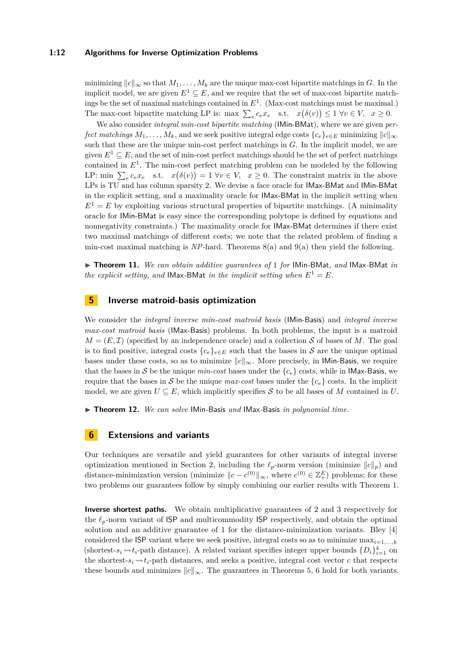#### **1:12 Algorithms for Inverse Optimization Problems**

minimizing  $||c||_{\infty}$  so that  $M_1, \ldots, M_k$  are the unique max-cost bipartite matchings in *G*. In the implicit model, we are given  $E^1 \subseteq E$ , and we require that the set of max-cost bipartite matchings be the set of maximal matchings contained in *E*<sup>1</sup> . (Max-cost matchings must be maximal.) The max-cost bipartite matching LP is: max  $\sum_{e} c_e x_e$  s.t.  $x(\delta(v)) \leq 1 \ \forall v \in V$ ,  $x \geq 0$ .

We also consider *integral min-cost bipartite matching* (IMin-BMat), where we are given *perfect matchings*  $M_1, \ldots, M_k$ , and we seek positive integral edge costs  ${c_e}_{e \in E}$  minimizing  $||c||_{\infty}$ such that these are the unique min-cost perfect matchings in *G*. In the implicit model, we are given  $E^1 \subseteq E$ , and the set of min-cost perfect matchings should be the set of perfect matchings contained in  $E<sup>1</sup>$ . The min-cost perfect matching problem can be modeled by the following LP: min  $\sum_{e} c_e x_e$  s.t.  $x(\delta(v)) = 1 \ \forall v \in V$ ,  $x \ge 0$ . The constraint matrix in the above LPs is TU and has column sparsity 2. We devise a face oracle for IMax-BMat and IMin-BMat in the explicit setting, and a maximality oracle for IMax-BMat in the implicit setting when  $E^1 = E$  by exploiting various structural properties of bipartite matchings. (A minimality oracle for IMin-BMat is easy since the corresponding polytope is defined by equations and nonnegativity constraints.) The maximality oracle for IMax-BMat determines if there exist two maximal matchings of different costs; we note that the related problem of finding a min-cost maximal matching is *NP*-hard. Theorems [8\(](#page-10-0)a) and [9\(](#page-10-1)a) then yield the following.

<span id="page-11-3"></span>▶ Theorem 11. *We can obtain additive quarantees of* 1 *for* IMin-BMat, and IMax-BMat *in the explicit setting, and* **IMax-BMat** *in the implicit setting when*  $E^1 = E$ *.* 

## <span id="page-11-0"></span>**5 Inverse matroid-basis optimization**

We consider the *integral inverse min-cost matroid basis* (IMin-Basis) and *integral inverse max-cost matroid basis* (IMax-Basis) problems. In both problems, the input is a matroid  $M = (E, \mathcal{I})$  (specified by an independence oracle) and a collection S of bases of M. The goal is to find positive, integral costs  ${c_e}_{e \in E}$  such that the bases in S are the unique optimal bases under these costs, so as to minimize  $||c||_{\infty}$ . More precisely, in **IMin-Basis**, we require that the bases in S be the unique  $min\text{-}cost$  bases under the  ${c<sub>e</sub>}$  costs, while in IMax-Basis, we require that the bases in S be the unique *max-cost* bases under the  ${c<sub>e</sub>}$  costs. In the implicit model, we are given  $U \subseteq E$ , which implicitly specifies S to be all bases of M contained in U.

<span id="page-11-1"></span>▶ Theorem 12. *We can solve* IMin-Basis *and* IMax-Basis *in polynomial time.* 

## <span id="page-11-2"></span>**6 Extensions and variants**

Our techniques are versatile and yield guarantees for other variants of integral inverse optimization mentioned in Section [2,](#page-5-2) including the  $\ell_p$ -norm version (minimize  $||c||_p$ ) and distance-minimization version (minimize  $\|c - c^{(0)}\|_{\infty}$ , where  $c^{(0)} \in \mathbb{Z}_+^E$ ) problems; for these two problems our guarantees follow by simply combining our earlier results with Theorem [1.](#page-6-2)

**Inverse shortest paths.** We obtain multiplicative guarantees of 2 and 3 respectively for the  $\ell_p$ -norm variant of ISP and multicommodity ISP respectively, and obtain the optimal solution and an additive guarantee of 1 for the distance-minimization variants. Bley [\[4\]](#page-12-2) considered the **ISP** variant where we seek positive, integral costs so as to minimize  $\max_{i=1,\dots,k}$ (shortest- $s_i \rightarrow t_i$ -path distance). A related variant specifies integer upper bounds  $\{D_i\}_{i=1}^k$  on the shortest- $s_i \rightarrow t_i$ -path distances, and seeks a positive, integral cost vector *c* that respects these bounds and minimizes  $||c||_{\infty}$ . The guarantees in Theorems [5,](#page-8-0) [6](#page-8-2) hold for both variants.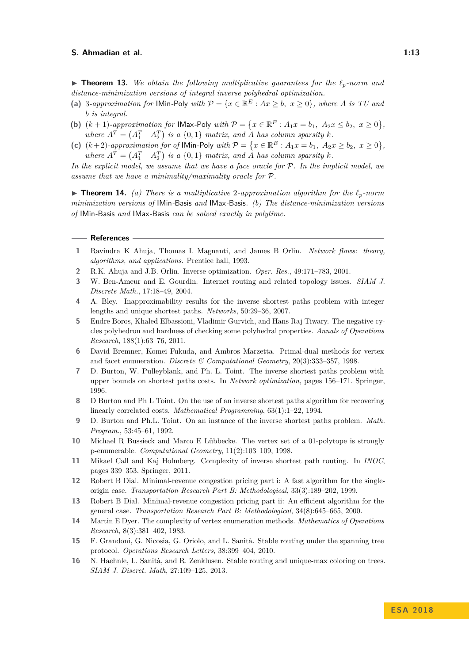**Findmergeright** Theorem 13. We obtain the following multiplicative guarantees for the  $\ell_p$ -norm and *distance-minimization versions of integral inverse polyhedral optimization.*

- (a) 3*-approximation for* IMin-Poly *with*  $P = \{x \in \mathbb{R}^E : Ax \geq b, x \geq 0\}$ *, where A is TU and b is integral.*
- (b)  $(k + 1)$ *-approximation for* IMax-Poly *with*  $P = \{x \in \mathbb{R}^E : A_1 x = b_1, A_2 x \le b_2, x \ge 0\}$ , where  $A^T = \begin{pmatrix} A_1^T & A_2^T \end{pmatrix}$  is a  $\{0,1\}$  matrix, and A has column sparsity *k*.
- (c)  $(k+2)$ -approximation for of IMin-Poly with  $P = \{x \in \mathbb{R}^E : A_1 x = b_1, A_2 x \ge b_2, x \ge 0\}$ , where  $A^T = \begin{pmatrix} A_1^T & A_2^T \end{pmatrix}$  is a {0,1} *matrix, and A has column sparsity k.*

*In the explicit model, we assume that we have a face oracle for* P*. In the implicit model, we assume that we have a minimality/maximality oracle for* P*.*

 $\triangleright$  **Theorem 14.** *(a) There is a multiplicative* 2-approximation algorithm for the  $\ell_p$ -norm *minimization versions of* IMin*-*Basis *and* IMax*-*Basis*. (b) The distance-minimization versions of* IMin*-*Basis *and* IMax*-*Basis *can be solved exactly in polytime.*

#### **References**

- <span id="page-12-15"></span>**1** Ravindra K Ahuja, Thomas L Magnanti, and James B Orlin. *Network flows: theory, algorithms, and applications*. Prentice hall, 1993.
- <span id="page-12-8"></span>**2** R.K. Ahuja and J.B. Orlin. Inverse optimization. *Oper. Res.*, 49:171–783, 2001.
- <span id="page-12-1"></span>**3** W. Ben-Ameur and E. Gourdin. Internet routing and related topology issues. *SIAM J. Discrete Math.*, 17:18–49, 2004.
- <span id="page-12-2"></span>**4** A. Bley. Inapproximability results for the inverse shortest paths problem with integer lengths and unique shortest paths. *Networks*, 50:29–36, 2007.
- <span id="page-12-14"></span>**5** Endre Boros, Khaled Elbassioni, Vladimir Gurvich, and Hans Raj Tiwary. The negative cycles polyhedron and hardness of checking some polyhedral properties. *Annals of Operations Research*, 188(1):63–76, 2011.
- <span id="page-12-12"></span>**6** David Bremner, Komei Fukuda, and Ambros Marzetta. Primal-dual methods for vertex and facet enumeration. *Discrete & Computational Geometry*, 20(3):333–357, 1998.
- <span id="page-12-9"></span>**7** D. Burton, W. Pulleyblank, and Ph. L. Toint. The inverse shortest paths problem with upper bounds on shortest paths costs. In *Network optimization*, pages 156–171. Springer, 1996.
- <span id="page-12-3"></span>**8** D Burton and Ph L Toint. On the use of an inverse shortest paths algorithm for recovering linearly correlated costs. *Mathematical Programming*, 63(1):1–22, 1994.
- <span id="page-12-0"></span>**9** D. Burton and Ph.L. Toint. On an instance of the inverse shortest paths problem. *Math. Program.*, 53:45–61, 1992.
- <span id="page-12-11"></span>**10** Michael R Bussieck and Marco E Lübbecke. The vertex set of a 01-polytope is strongly p-enumerable. *Computational Geometry*, 11(2):103–109, 1998.
- <span id="page-12-10"></span>**11** Mikael Call and Kaj Holmberg. Complexity of inverse shortest path routing. In *INOC*, pages 339–353. Springer, 2011.
- <span id="page-12-4"></span>**12** Robert B Dial. Minimal-revenue congestion pricing part i: A fast algorithm for the singleorigin case. *Transportation Research Part B: Methodological*, 33(3):189–202, 1999.
- <span id="page-12-5"></span>**13** Robert B Dial. Minimal-revenue congestion pricing part ii: An efficient algorithm for the general case. *Transportation Research Part B: Methodological*, 34(8):645–665, 2000.
- <span id="page-12-13"></span>**14** Martin E Dyer. The complexity of vertex enumeration methods. *Mathematics of Operations Research*, 8(3):381–402, 1983.
- <span id="page-12-6"></span>**15** F. Grandoni, G. Nicosia, G. Oriolo, and L. Sanità. Stable routing under the spanning tree protocol. *Operations Research Letters*, 38:399–404, 2010.
- <span id="page-12-7"></span>**16** N. Haehnle, L. Sanità, and R. Zenklusen. Stable routing and unique-max coloring on trees. *SIAM J. Discret. Math*, 27:109–125, 2013.